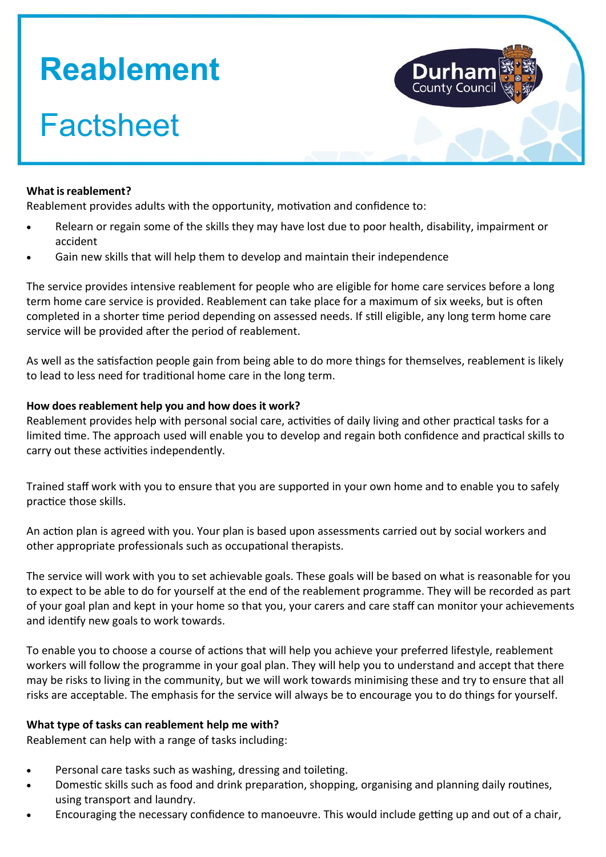# **Reablement**

## **Factsheet**

#### **What isreablement?**

Reablement provides adults with the opportunity, motivation and confidence to:

- Relearn or regain some of the skills they may have lost due to poor health, disability, impairment or accident
- Gain new skills that will help them to develop and maintain their independence

The service provides intensive reablement for people who are eligible for home care services before a long term home care service is provided. Reablement can take place for a maximum of six weeks, but is often completed in a shorter time period depending on assessed needs. If still eligible, any long term home care service will be provided after the period of reablement.

As well as the satisfaction people gain from being able to do more things for themselves, reablement is likely to lead to less need for traditional home care in the long term.

#### **How does reablement help you and how does it work?**

Reablement provides help with personal social care, activities of daily living and other practical tasks for a limited time. The approach used will enable you to develop and regain both confidence and practical skills to carry out these activities independently.

Trained staff work with you to ensure that you are supported in your own home and to enable you to safely practice those skills.

An action plan is agreed with you. Your plan is based upon assessments carried out by social workers and other appropriate professionals such as occupational therapists.

The service will work with you to set achievable goals. These goals will be based on what is reasonable for you to expect to be able to do for yourself at the end of the reablement programme. They will be recorded as part of your goal plan and kept in your home so that you, your carers and care staff can monitor your achievements and identify new goals to work towards.

To enable you to choose a course of actions that will help you achieve your preferred lifestyle, reablement workers will follow the programme in your goal plan. They will help you to understand and accept that there may be risks to living in the community, but we will work towards minimising these and try to ensure that all risks are acceptable. The emphasis for the service will always be to encourage you to do things for yourself.

#### **What type of tasks can reablement help me with?**

Reablement can help with a range of tasks including:

- Personal care tasks such as washing, dressing and toileting.
- Domestic skills such as food and drink preparation, shopping, organising and planning daily routines, using transport and laundry.
- Encouraging the necessary confidence to manoeuvre. This would include getting up and out of a chair,